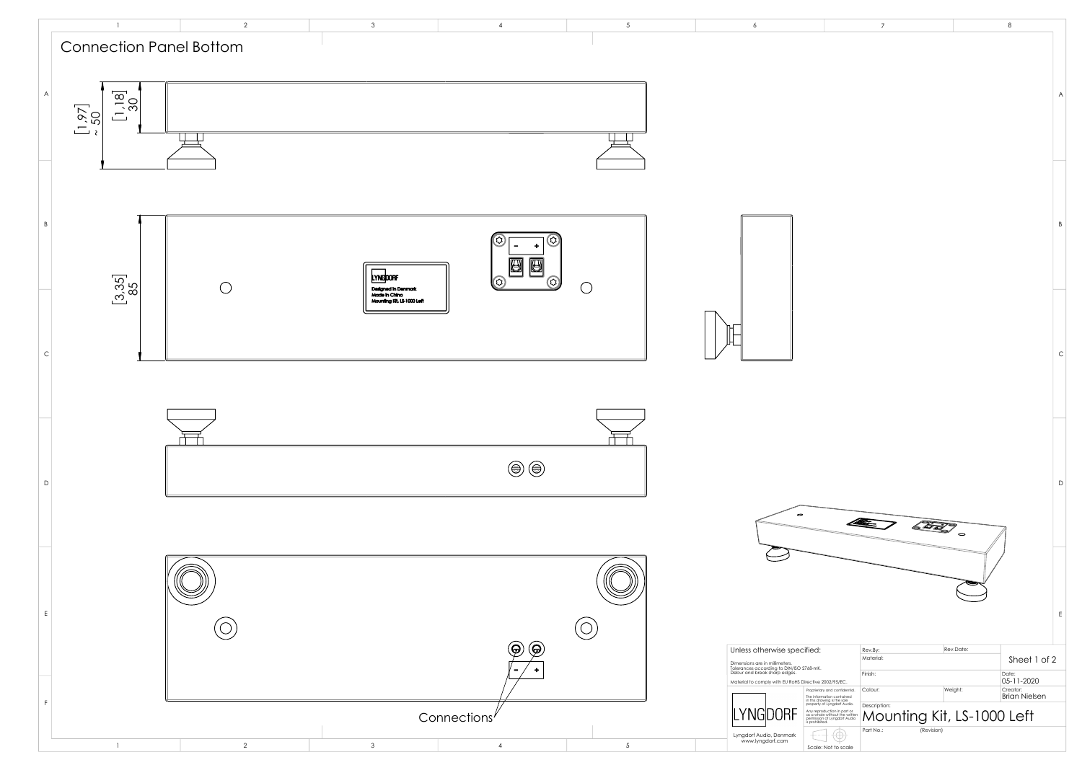

|                                                                                                                          | $\overline{\mathcal{I}}$ |            |                            | 8                      |              |
|--------------------------------------------------------------------------------------------------------------------------|--------------------------|------------|----------------------------|------------------------|--------------|
|                                                                                                                          |                          |            |                            |                        | A            |
|                                                                                                                          |                          |            |                            |                        | B            |
|                                                                                                                          |                          |            |                            |                        | $\mathsf{C}$ |
|                                                                                                                          | 42.                      | 653        | $\overline{\phantom{a}}$   |                        | D            |
|                                                                                                                          |                          |            |                            |                        | Ε            |
| fied:                                                                                                                    | Rev.By:<br>Material:     |            | Rev.Date:                  | Sheet 1 of 2           |              |
| 68-mK.                                                                                                                   | Finish:                  |            |                            | Date:                  |              |
| ective 2002/95/EC.                                                                                                       | Colour:                  |            | Weight:                    | 05-11-2020<br>Creator: |              |
| Proprietary and confidential.<br>The information contained<br>in this drawing is the sole<br>property of Lyngdorf Audio. |                          |            |                            | <b>Brian Nielsen</b>   |              |
| Any reproduction in part or<br>as a whole without the written<br>permission of Lyngdorf Audio<br>is prohibited.          | Description:             |            | Mounting Kit, LS-1000 Left |                        |              |
|                                                                                                                          | Part No.:                | (Revision) |                            |                        |              |
| Scale: Not to scale                                                                                                      |                          |            |                            |                        |              |